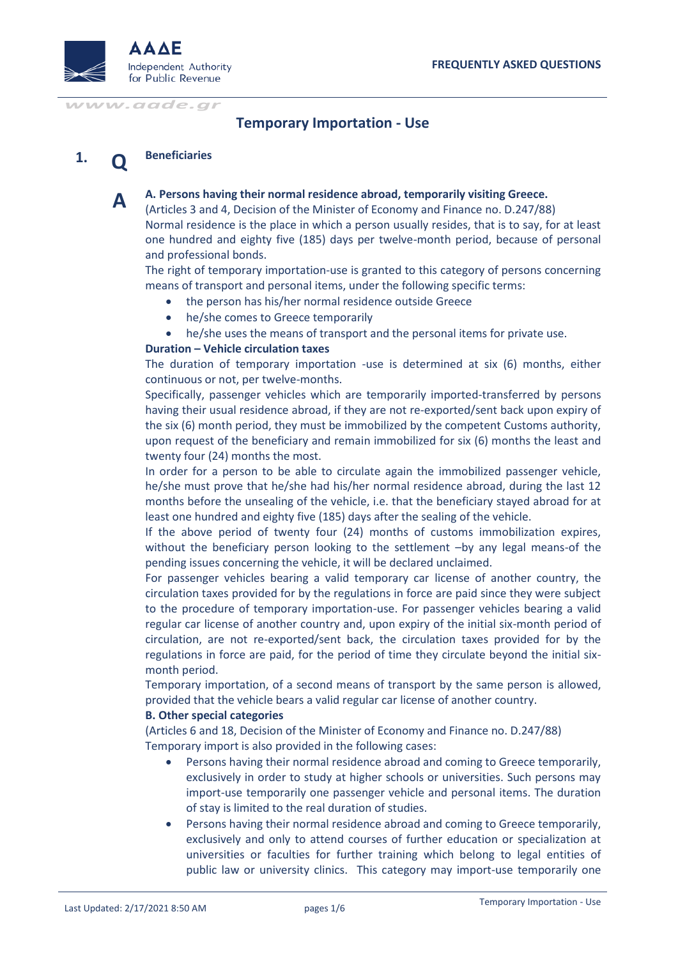

# **Temporary Importation - Use**

#### **1. Q Beneficiaries**

**A**

**A. Persons having their normal residence abroad, temporarily visiting Greece.**

(Articles 3 and 4, Decision of the Minister of Economy and Finance no. D.247/88) Normal residence is the place in which a person usually resides, that is to say, for at least one hundred and eighty five (185) days per twelve-month period, because of personal and professional bonds.

The right of temporary importation-use is granted to this category of persons concerning means of transport and personal items, under the following specific terms:

- the person has his/her normal residence outside Greece
- he/she comes to Greece temporarily
- he/she uses the means of transport and the personal items for private use.

### **Duration – Vehicle circulation taxes**

The duration of temporary importation -use is determined at six (6) months, either continuous or not, per twelve-months.

Specifically, passenger vehicles which are temporarily imported-transferred by persons having their usual residence abroad, if they are not re-exported/sent back upon expiry of the six (6) month period, they must be immobilized by the competent Customs authority, upon request of the beneficiary and remain immobilized for six (6) months the least and twenty four (24) months the most.

In order for a person to be able to circulate again the immobilized passenger vehicle, he/she must prove that he/she had his/her normal residence abroad, during the last 12 months before the unsealing of the vehicle, i.e. that the beneficiary stayed abroad for at least one hundred and eighty five (185) days after the sealing of the vehicle.

If the above period of twenty four (24) months of customs immobilization expires, without the beneficiary person looking to the settlement –by any legal means-of the pending issues concerning the vehicle, it will be declared unclaimed.

For passenger vehicles bearing a valid temporary car license of another country, the circulation taxes provided for by the regulations in force are paid since they were subject to the procedure of temporary importation-use. For passenger vehicles bearing a valid regular car license of another country and, upon expiry of the initial six-month period of circulation, are not re-exported/sent back, the circulation taxes provided for by the regulations in force are paid, for the period of time they circulate beyond the initial sixmonth period.

Temporary importation, of a second means of transport by the same person is allowed, provided that the vehicle bears a valid regular car license of another country.

### **B. Other special categories**

(Articles 6 and 18, Decision of the Minister of Economy and Finance no. D.247/88) Temporary import is also provided in the following cases:

- Persons having their normal residence abroad and coming to Greece temporarily, exclusively in order to study at higher schools or universities. Such persons may import-use temporarily one passenger vehicle and personal items. The duration of stay is limited to the real duration of studies.
- Persons having their normal residence abroad and coming to Greece temporarily, exclusively and only to attend courses of further education or specialization at universities or faculties for further training which belong to legal entities of public law or university clinics. This category may import-use temporarily one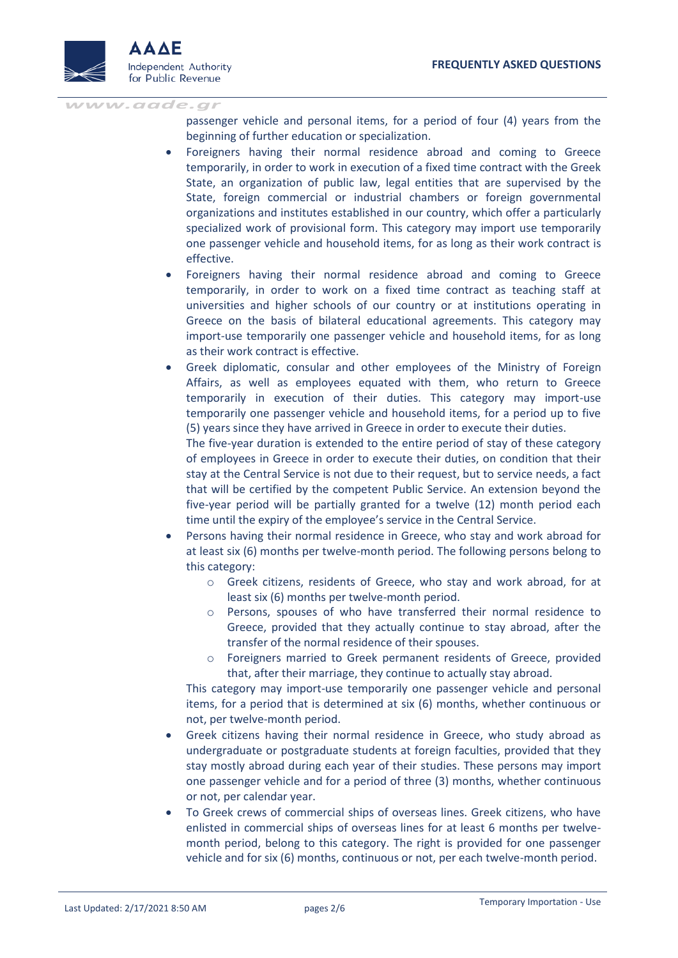

passenger vehicle and personal items, for a period of four (4) years from the beginning of further education or specialization.

- Foreigners having their normal residence abroad and coming to Greece temporarily, in order to work in execution of a fixed time contract with the Greek State, an organization of public law, legal entities that are supervised by the State, foreign commercial or industrial chambers or foreign governmental organizations and institutes established in our country, which offer a particularly specialized work of provisional form. This category may import use temporarily one passenger vehicle and household items, for as long as their work contract is effective.
- Foreigners having their normal residence abroad and coming to Greece temporarily, in order to work on a fixed time contract as teaching staff at universities and higher schools of our country or at institutions operating in Greece on the basis of bilateral educational agreements. This category may import-use temporarily one passenger vehicle and household items, for as long as their work contract is effective.
- Greek diplomatic, consular and other employees of the Ministry of Foreign Affairs, as well as employees equated with them, who return to Greece temporarily in execution of their duties. This category may import-use temporarily one passenger vehicle and household items, for a period up to five (5) years since they have arrived in Greece in order to execute their duties.

The five-year duration is extended to the entire period of stay of these category of employees in Greece in order to execute their duties, on condition that their stay at the Central Service is not due to their request, but to service needs, a fact that will be certified by the competent Public Service. An extension beyond the five-year period will be partially granted for a twelve (12) month period each time until the expiry of the employee's service in the Central Service.

- Persons having their normal residence in Greece, who stay and work abroad for at least six (6) months per twelve-month period. The following persons belong to this category:
	- o Greek citizens, residents of Greece, who stay and work abroad, for at least six (6) months per twelve-month period.
	- o Persons, spouses of who have transferred their normal residence to Greece, provided that they actually continue to stay abroad, after the transfer of the normal residence of their spouses.
	- o Foreigners married to Greek permanent residents of Greece, provided that, after their marriage, they continue to actually stay abroad.

This category may import-use temporarily one passenger vehicle and personal items, for a period that is determined at six (6) months, whether continuous or not, per twelve-month period.

- Greek citizens having their normal residence in Greece, who study abroad as undergraduate or postgraduate students at foreign faculties, provided that they stay mostly abroad during each year of their studies. These persons may import one passenger vehicle and for a period of three (3) months, whether continuous or not, per calendar year.
- To Greek crews of commercial ships of overseas lines. Greek citizens, who have enlisted in commercial ships of overseas lines for at least 6 months per twelvemonth period, belong to this category. The right is provided for one passenger vehicle and for six (6) months, continuous or not, per each twelve-month period.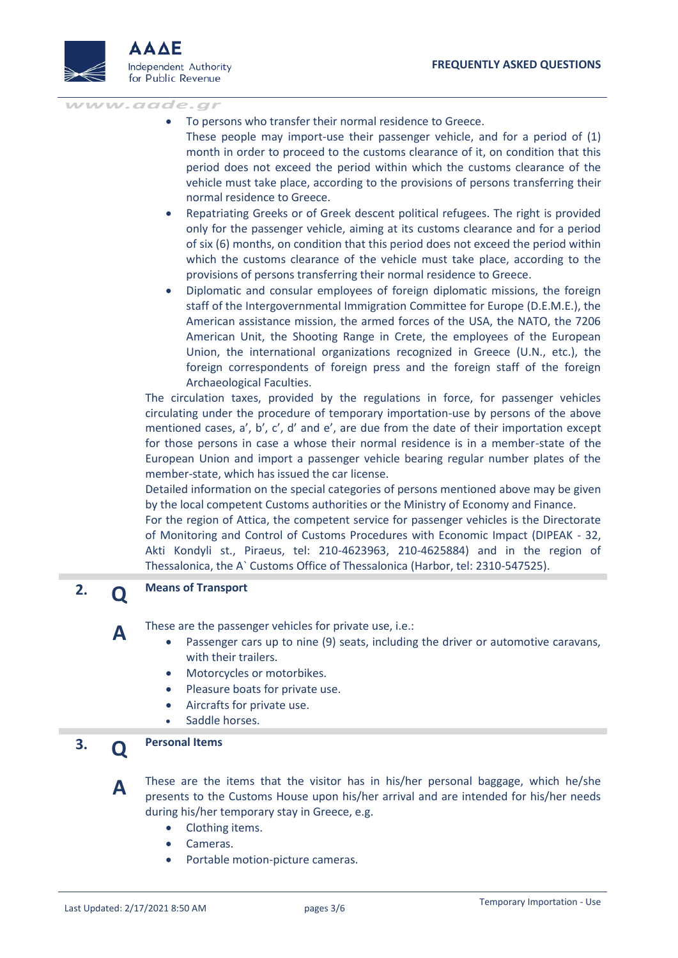

- To persons who transfer their normal residence to Greece.
- These people may import-use their passenger vehicle, and for a period of (1) month in order to proceed to the customs clearance of it, on condition that this period does not exceed the period within which the customs clearance of the vehicle must take place, according to the provisions of persons transferring their normal residence to Greece.
- Repatriating Greeks or of Greek descent political refugees. The right is provided only for the passenger vehicle, aiming at its customs clearance and for a period of six (6) months, on condition that this period does not exceed the period within which the customs clearance of the vehicle must take place, according to the provisions of persons transferring their normal residence to Greece.
- Diplomatic and consular employees of foreign diplomatic missions, the foreign staff of the Intergovernmental Immigration Committee for Europe (D.E.M.E.), the American assistance mission, the armed forces of the USA, the NATO, the 7206 American Unit, the Shooting Range in Crete, the employees of the European Union, the international organizations recognized in Greece (U.N., etc.), the foreign correspondents of foreign press and the foreign staff of the foreign Archaeological Faculties.

The circulation taxes, provided by the regulations in force, for passenger vehicles circulating under the procedure of temporary importation-use by persons of the above mentioned cases, a', b', c', d' and e', are due from the date of their importation except for those persons in case a whose their normal residence is in a member-state of the European Union and import a passenger vehicle bearing regular number plates of the member-state, which has issued the car license.

Detailed information on the special categories of persons mentioned above may be given by the local competent Customs authorities or the Ministry of Economy and Finance.

For the region of Attica, the competent service for passenger vehicles is the Directorate of Monitoring and Control of Customs Procedures with Economic Impact (DIPEAK - 32, Akti Kondyli st., Piraeus, tel: 210-4623963, 210-4625884) and in the region of Thessalonica, the A` Customs Office of Thessalonica (Harbor, tel: 2310-547525).

### **2. Q Means of Transport**

**A**

**A**

These are the passenger vehicles for private use, i.e.:

- Passenger cars up to nine (9) seats, including the driver or automotive caravans, with their trailers.
- Motorcycles or motorbikes.
- Pleasure boats for private use.
- Aircrafts for private use.
- Saddle horses.

#### **3. Q Personal Items**

These are the items that the visitor has in his/her personal baggage, which he/she presents to the Customs House upon his/her arrival and are intended for his/her needs during his/her temporary stay in Greece, e.g.

- Clothing items.
- Cameras.
- Portable motion-picture cameras.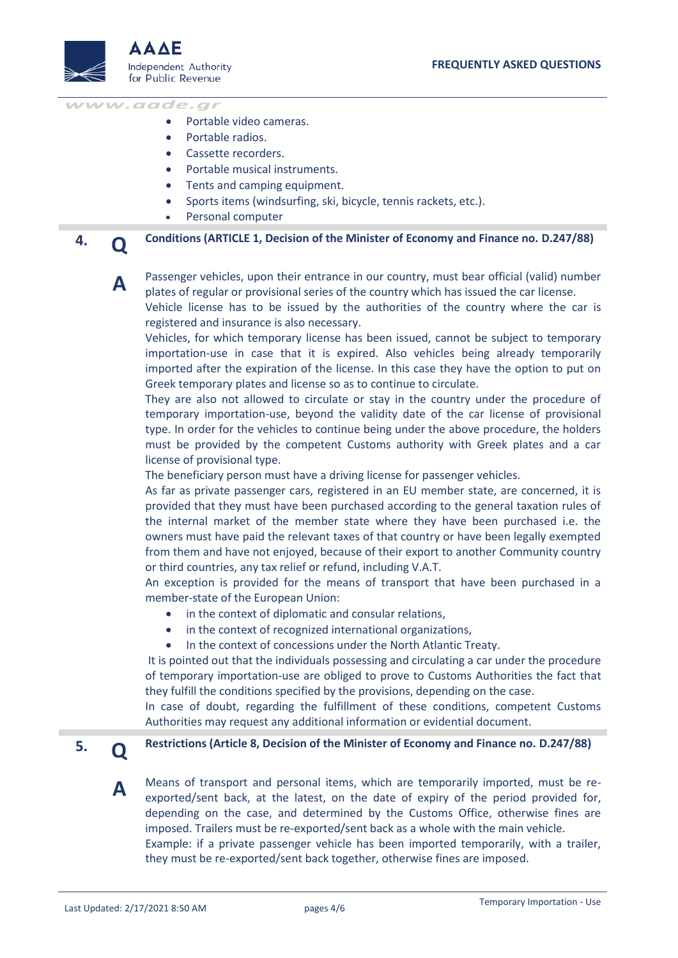

- Portable video cameras.
- Portable radios.
- Cassette recorders.
- Portable musical instruments.
- Tents and camping equipment.
- Sports items (windsurfing, ski, bicycle, tennis rackets, etc.).
- Personal computer

**4. Q Conditions (ARTICLE 1, Decision of the Minister of Economy and Finance no. D.247/88)**

**A**

Passenger vehicles, upon their entrance in our country, must bear official (valid) number plates of regular or provisional series of the country which has issued the car license.

Vehicle license has to be issued by the authorities of the country where the car is registered and insurance is also necessary.

Vehicles, for which temporary license has been issued, cannot be subject to temporary importation-use in case that it is expired. Also vehicles being already temporarily imported after the expiration of the license. In this case they have the option to put on Greek temporary plates and license so as to continue to circulate.

They are also not allowed to circulate or stay in the country under the procedure of temporary importation-use, beyond the validity date of the car license of provisional type. In order for the vehicles to continue being under the above procedure, the holders must be provided by the competent Customs authority with Greek plates and a car license of provisional type.

The beneficiary person must have a driving license for passenger vehicles.

As far as private passenger cars, registered in an EU member state, are concerned, it is provided that they must have been purchased according to the general taxation rules of the internal market of the member state where they have been purchased i.e. the owners must have paid the relevant taxes of that country or have been legally exempted from them and have not enjoyed, because of their export to another Community country or third countries, any tax relief or refund, including V.A.T.

An exception is provided for the means of transport that have been purchased in a member-state of the European Union:

- in the context of diplomatic and consular relations,
- in the context of recognized international organizations,
- In the context of concessions under the North Atlantic Treaty.

It is pointed out that the individuals possessing and circulating a car under the procedure of temporary importation-use are obliged to prove to Customs Authorities the fact that they fulfill the conditions specified by the provisions, depending on the case.

In case of doubt, regarding the fulfillment of these conditions, competent Customs Authorities may request any additional information or evidential document.

## **Restrictions (Article 8, Decision of the Minister of Economy and Finance no. D.247/88)**

Means of transport and personal items, which are temporarily imported, must be reexported/sent back, at the latest, on the date of expiry of the period provided for, depending on the case, and determined by the Customs Office, otherwise fines are imposed. Trailers must be re-exported/sent back as a whole with the main vehicle. Example: if a private passenger vehicle has been imported temporarily, with a trailer, they must be re-exported/sent back together, otherwise fines are imposed.

**5. Q**

**A**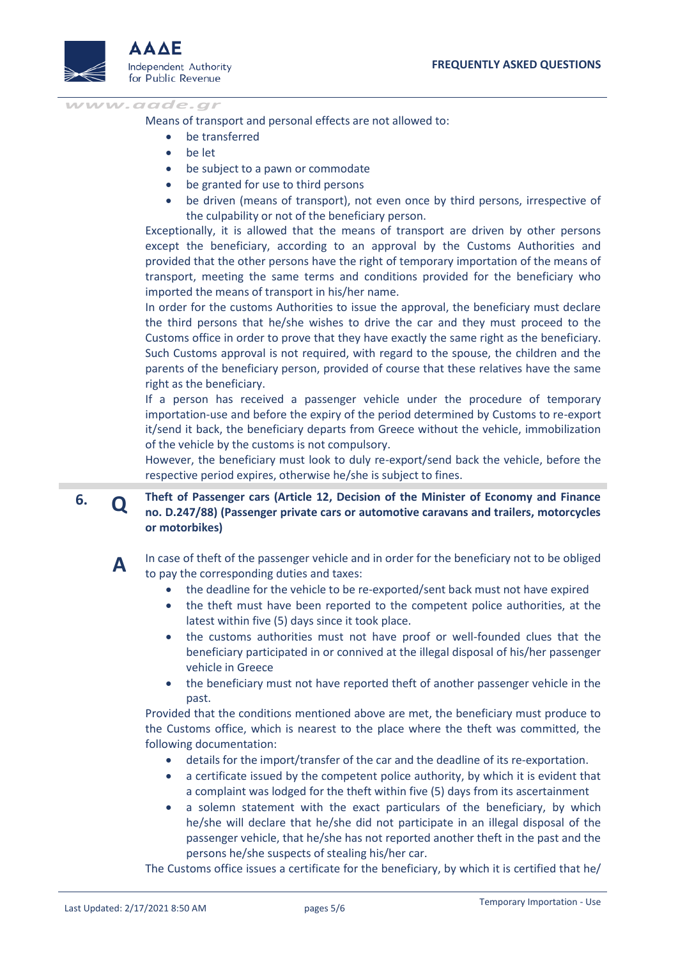

Means of transport and personal effects are not allowed to:

- be transferred
- be let
- be subject to a pawn or commodate
- be granted for use to third persons
- be driven (means of transport), not even once by third persons, irrespective of the culpability or not of the beneficiary person.

Exceptionally, it is allowed that the means of transport are driven by other persons except the beneficiary, according to an approval by the Customs Authorities and provided that the other persons have the right of temporary importation of the means of transport, meeting the same terms and conditions provided for the beneficiary who imported the means of transport in his/her name.

In order for the customs Authorities to issue the approval, the beneficiary must declare the third persons that he/she wishes to drive the car and they must proceed to the Customs office in order to prove that they have exactly the same right as the beneficiary. Such Customs approval is not required, with regard to the spouse, the children and the parents of the beneficiary person, provided of course that these relatives have the same right as the beneficiary.

If a person has received a passenger vehicle under the procedure of temporary importation-use and before the expiry of the period determined by Customs to re-export it/send it back, the beneficiary departs from Greece without the vehicle, immobilization of the vehicle by the customs is not compulsory.

However, the beneficiary must look to duly re-export/send back the vehicle, before the respective period expires, otherwise he/she is subject to fines.

**6. Q Theft of Passenger cars (Article 12, Decision of the Minister of Economy and Finance no. D.247/88) (Passenger private cars or automotive caravans and trailers, motorcycles or motorbikes)**



In case of theft of the passenger vehicle and in order for the beneficiary not to be obliged to pay the corresponding duties and taxes:

- the deadline for the vehicle to be re-exported/sent back must not have expired
- the theft must have been reported to the competent police authorities, at the latest within five (5) days since it took place.
- the customs authorities must not have proof or well-founded clues that the beneficiary participated in or connived at the illegal disposal of his/her passenger vehicle in Greece
- the beneficiary must not have reported theft of another passenger vehicle in the past.

Provided that the conditions mentioned above are met, the beneficiary must produce to the Customs office, which is nearest to the place where the theft was committed, the following documentation:

- details for the import/transfer of the car and the deadline of its re-exportation.
- a certificate issued by the competent police authority, by which it is evident that a complaint was lodged for the theft within five (5) days from its ascertainment
- a solemn statement with the exact particulars of the beneficiary, by which he/she will declare that he/she did not participate in an illegal disposal of the passenger vehicle, that he/she has not reported another theft in the past and the persons he/she suspects of stealing his/her car.

The Customs office issues a certificate for the beneficiary, by which it is certified that he/